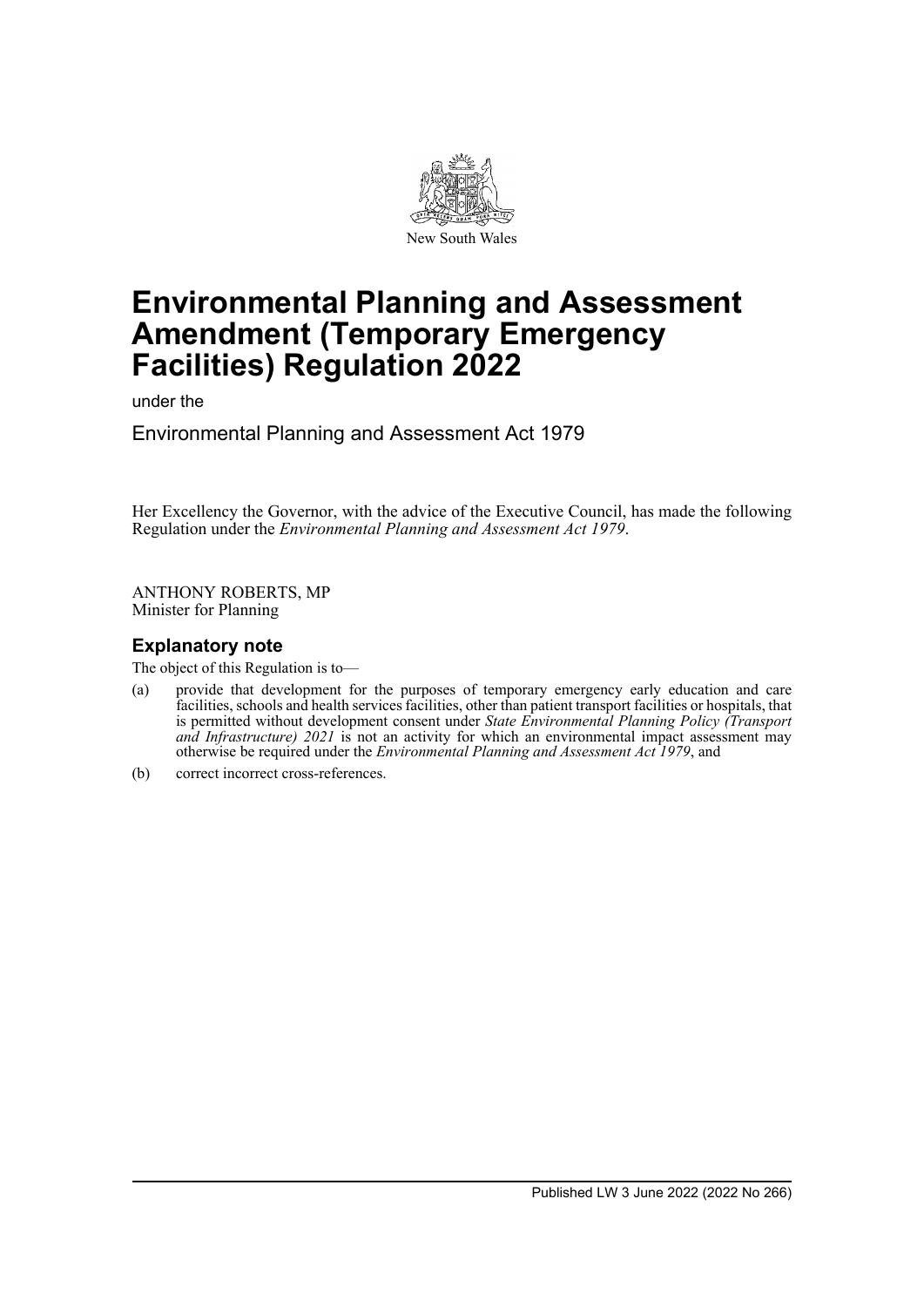

# **Environmental Planning and Assessment Amendment (Temporary Emergency Facilities) Regulation 2022**

under the

Environmental Planning and Assessment Act 1979

Her Excellency the Governor, with the advice of the Executive Council, has made the following Regulation under the *Environmental Planning and Assessment Act 1979*.

ANTHONY ROBERTS, MP Minister for Planning

# **Explanatory note**

The object of this Regulation is to—

- (a) provide that development for the purposes of temporary emergency early education and care facilities, schools and health services facilities, other than patient transport facilities or hospitals, that is permitted without development consent under *State Environmental Planning Policy (Transport and Infrastructure) 2021* is not an activity for which an environmental impact assessment may otherwise be required under the *Environmental Planning and Assessment Act 1979*, and
- (b) correct incorrect cross-references.